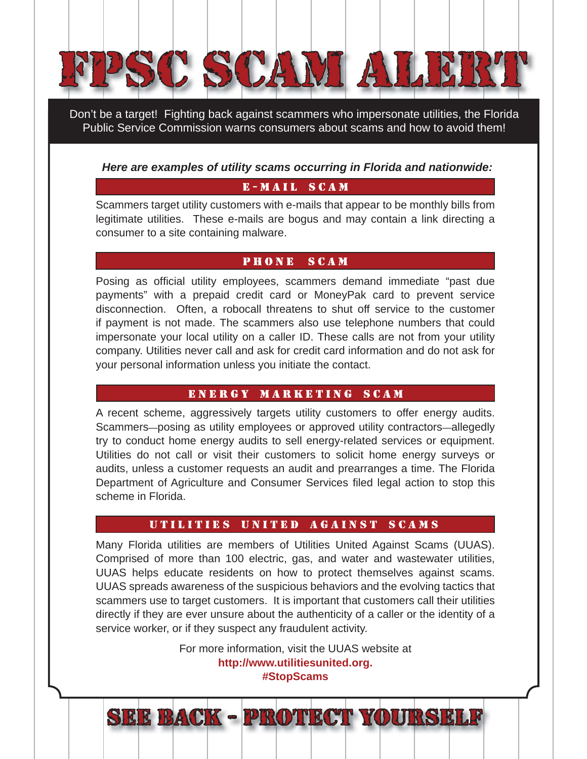

Don't be a target! Fighting back against scammers who impersonate utilities, the Florida Public Service Commission warns consumers about scams and how to avoid them!

#### *Here are examples of utility scams occurring in Florida and nationwide:*

## **E-MAIL SCAM**

Scammers target utility customers with e-mails that appear to be monthly bills from legitimate utilities. These e-mails are bogus and may contain a link directing a consumer to a site containing malware.

#### **PHONE SCAM**

PHONE scam

Posing as official utility employees, scammers demand immediate "past due payments" with a prepaid credit card or MoneyPak card to prevent service disconnection. Often, a robocall threatens to shut off service to the customer if payment is not made. The scammers also use telephone numbers that could impersonate your local utility on a caller ID. These calls are not from your utility company. Utilities never call and ask for credit card information and do not ask for your personal information unless you initiate the contact.

#### ENERGY MARKETING SCAM

A recent scheme, aggressively targets utility customers to offer energy audits. Scammers—posing as utility employees or approved utility contractors—allegedly try to conduct home energy audits to sell energy-related services or equipment. Utilities do not call or visit their customers to solicit home energy surveys or audits, unless a customer requests an audit and prearranges a time. The Florida Department of Agriculture and Consumer Services filed legal action to stop this scheme in Florida.

### UTILITIES UNITED AGAINST SCAMS

Many Florida utilities are members of Utilities United Against Scams (UUAS). Comprised of more than 100 electric, gas, and water and wastewater utilities, UUAS helps educate residents on how to protect themselves against scams. UUAS spreads awareness of the suspicious behaviors and the evolving tactics that scammers use to target customers. It is important that customers call their utilities directly if they are ever unsure about the authenticity of a caller or the identity of a service worker, or if they suspect any fraudulent activity.

> For more information, visit the UUAS website at **http://www.utilitiesunited.org. #StopScams**